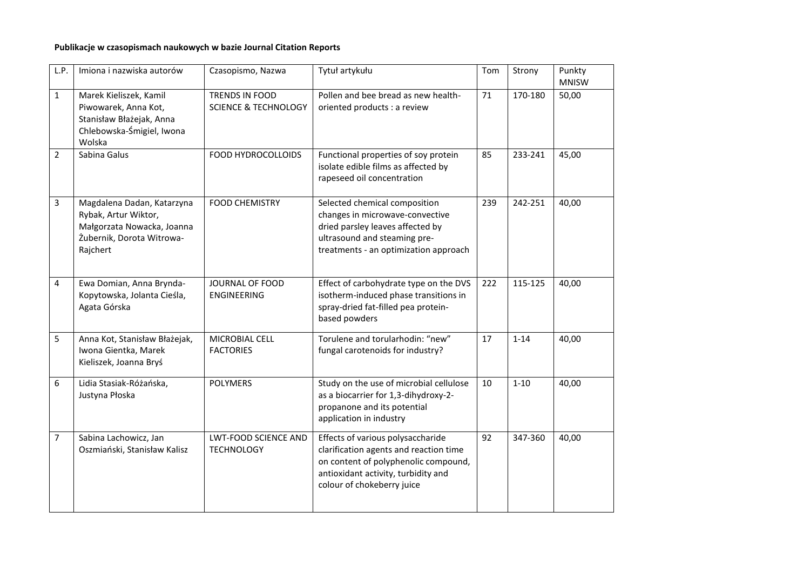## **Publikacje w czasopismach naukowych w bazie Journal Citation Reports**

| L.P.           | Imiona i nazwiska autorów                                                                                                 | Czasopismo, Nazwa                                 | Tytuł artykułu                                                                                                                                                                           | Tom | Strony   | Punkty<br><b>MNISW</b> |
|----------------|---------------------------------------------------------------------------------------------------------------------------|---------------------------------------------------|------------------------------------------------------------------------------------------------------------------------------------------------------------------------------------------|-----|----------|------------------------|
| $\mathbf{1}$   | Marek Kieliszek, Kamil<br>Piwowarek, Anna Kot,<br>Stanisław Błażejak, Anna<br>Chlebowska-Śmigiel, Iwona<br>Wolska         | TRENDS IN FOOD<br><b>SCIENCE &amp; TECHNOLOGY</b> | Pollen and bee bread as new health-<br>oriented products : a review                                                                                                                      | 71  | 170-180  | 50,00                  |
| $\overline{2}$ | Sabina Galus                                                                                                              | FOOD HYDROCOLLOIDS                                | Functional properties of soy protein<br>isolate edible films as affected by<br>rapeseed oil concentration                                                                                | 85  | 233-241  | 45,00                  |
| 3              | Magdalena Dadan, Katarzyna<br>Rybak, Artur Wiktor,<br>Małgorzata Nowacka, Joanna<br>Żubernik, Dorota Witrowa-<br>Rajchert | <b>FOOD CHEMISTRY</b>                             | Selected chemical composition<br>changes in microwave-convective<br>dried parsley leaves affected by<br>ultrasound and steaming pre-<br>treatments - an optimization approach            | 239 | 242-251  | 40,00                  |
| 4              | Ewa Domian, Anna Brynda-<br>Kopytowska, Jolanta Cieśla,<br>Agata Górska                                                   | JOURNAL OF FOOD<br><b>ENGINEERING</b>             | Effect of carbohydrate type on the DVS<br>isotherm-induced phase transitions in<br>spray-dried fat-filled pea protein-<br>based powders                                                  | 222 | 115-125  | 40,00                  |
| 5              | Anna Kot, Stanisław Błażejak,<br>Iwona Gientka, Marek<br>Kieliszek, Joanna Bryś                                           | MICROBIAL CELL<br><b>FACTORIES</b>                | Torulene and torularhodin: "new"<br>fungal carotenoids for industry?                                                                                                                     | 17  | $1 - 14$ | 40,00                  |
| 6              | Lidia Stasiak-Różańska,<br>Justyna Płoska                                                                                 | <b>POLYMERS</b>                                   | Study on the use of microbial cellulose<br>as a biocarrier for 1,3-dihydroxy-2-<br>propanone and its potential<br>application in industry                                                | 10  | $1 - 10$ | 40,00                  |
| $\overline{7}$ | Sabina Lachowicz, Jan<br>Oszmiański, Stanisław Kalisz                                                                     | <b>LWT-FOOD SCIENCE AND</b><br><b>TECHNOLOGY</b>  | Effects of various polysaccharide<br>clarification agents and reaction time<br>on content of polyphenolic compound,<br>antioxidant activity, turbidity and<br>colour of chokeberry juice | 92  | 347-360  | 40,00                  |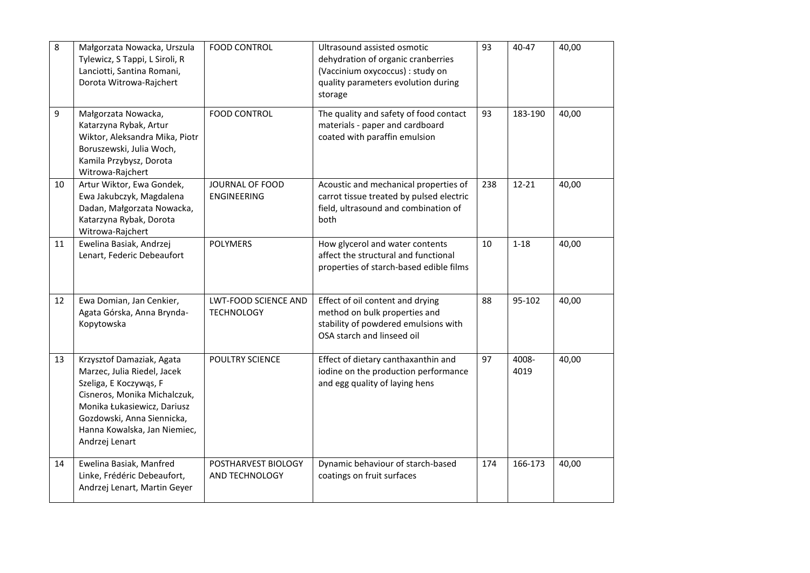| 8  | Małgorzata Nowacka, Urszula<br>Tylewicz, S Tappi, L Siroli, R<br>Lanciotti, Santina Romani,<br>Dorota Witrowa-Rajchert                                                                                                            | <b>FOOD CONTROL</b>                              | Ultrasound assisted osmotic<br>dehydration of organic cranberries<br>(Vaccinium oxycoccus) : study on<br>quality parameters evolution during<br>storage | 93  | 40-47         | 40,00 |
|----|-----------------------------------------------------------------------------------------------------------------------------------------------------------------------------------------------------------------------------------|--------------------------------------------------|---------------------------------------------------------------------------------------------------------------------------------------------------------|-----|---------------|-------|
| 9  | Małgorzata Nowacka,<br>Katarzyna Rybak, Artur<br>Wiktor, Aleksandra Mika, Piotr<br>Boruszewski, Julia Woch,<br>Kamila Przybysz, Dorota<br>Witrowa-Rajchert                                                                        | <b>FOOD CONTROL</b>                              | The quality and safety of food contact<br>materials - paper and cardboard<br>coated with paraffin emulsion                                              | 93  | 183-190       | 40,00 |
| 10 | Artur Wiktor, Ewa Gondek,<br>Ewa Jakubczyk, Magdalena<br>Dadan, Małgorzata Nowacka,<br>Katarzyna Rybak, Dorota<br>Witrowa-Rajchert                                                                                                | JOURNAL OF FOOD<br><b>ENGINEERING</b>            | Acoustic and mechanical properties of<br>carrot tissue treated by pulsed electric<br>field, ultrasound and combination of<br>both                       | 238 | $12 - 21$     | 40,00 |
| 11 | Ewelina Basiak, Andrzej<br>Lenart, Federic Debeaufort                                                                                                                                                                             | <b>POLYMERS</b>                                  | How glycerol and water contents<br>affect the structural and functional<br>properties of starch-based edible films                                      | 10  | $1 - 18$      | 40,00 |
| 12 | Ewa Domian, Jan Cenkier,<br>Agata Górska, Anna Brynda-<br>Kopytowska                                                                                                                                                              | <b>LWT-FOOD SCIENCE AND</b><br><b>TECHNOLOGY</b> | Effect of oil content and drying<br>method on bulk properties and<br>stability of powdered emulsions with<br>OSA starch and linseed oil                 | 88  | 95-102        | 40,00 |
| 13 | Krzysztof Damaziak, Agata<br>Marzec, Julia Riedel, Jacek<br>Szeliga, E Koczywąs, F<br>Cisneros, Monika Michalczuk,<br>Monika Łukasiewicz, Dariusz<br>Gozdowski, Anna Siennicka,<br>Hanna Kowalska, Jan Niemiec,<br>Andrzej Lenart | POULTRY SCIENCE                                  | Effect of dietary canthaxanthin and<br>iodine on the production performance<br>and egg quality of laying hens                                           | 97  | 4008-<br>4019 | 40,00 |
| 14 | Ewelina Basiak, Manfred<br>Linke, Frédéric Debeaufort,<br>Andrzej Lenart, Martin Geyer                                                                                                                                            | POSTHARVEST BIOLOGY<br>AND TECHNOLOGY            | Dynamic behaviour of starch-based<br>coatings on fruit surfaces                                                                                         | 174 | 166-173       | 40,00 |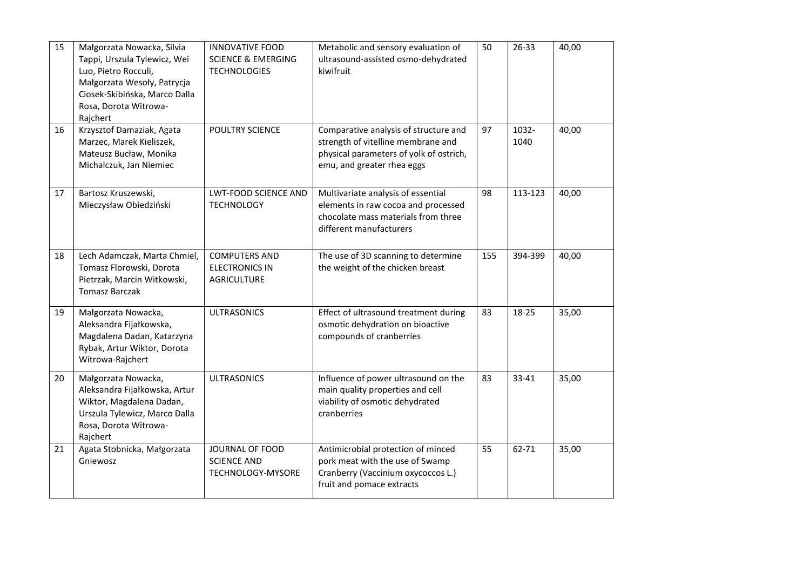| 15 | Małgorzata Nowacka, Silvia<br>Tappi, Urszula Tylewicz, Wei<br>Luo, Pietro Rocculi,<br>Małgorzata Wesoły, Patrycja<br>Ciosek-Skibińska, Marco Dalla<br>Rosa, Dorota Witrowa-<br>Rajchert | <b>INNOVATIVE FOOD</b><br><b>SCIENCE &amp; EMERGING</b><br><b>TECHNOLOGIES</b> | Metabolic and sensory evaluation of<br>ultrasound-assisted osmo-dehydrated<br>kiwifruit                                                              | 50  | 26-33         | 40,00 |
|----|-----------------------------------------------------------------------------------------------------------------------------------------------------------------------------------------|--------------------------------------------------------------------------------|------------------------------------------------------------------------------------------------------------------------------------------------------|-----|---------------|-------|
| 16 | Krzysztof Damaziak, Agata<br>Marzec, Marek Kieliszek,<br>Mateusz Bucław, Monika<br>Michalczuk, Jan Niemiec                                                                              | POULTRY SCIENCE                                                                | Comparative analysis of structure and<br>strength of vitelline membrane and<br>physical parameters of yolk of ostrich,<br>emu, and greater rhea eggs | 97  | 1032-<br>1040 | 40,00 |
| 17 | Bartosz Kruszewski,<br>Mieczysław Obiedziński                                                                                                                                           | <b>LWT-FOOD SCIENCE AND</b><br><b>TECHNOLOGY</b>                               | Multivariate analysis of essential<br>elements in raw cocoa and processed<br>chocolate mass materials from three<br>different manufacturers          | 98  | 113-123       | 40,00 |
| 18 | Lech Adamczak, Marta Chmiel,<br>Tomasz Florowski, Dorota<br>Pietrzak, Marcin Witkowski,<br><b>Tomasz Barczak</b>                                                                        | <b>COMPUTERS AND</b><br><b>ELECTRONICS IN</b><br><b>AGRICULTURE</b>            | The use of 3D scanning to determine<br>the weight of the chicken breast                                                                              | 155 | 394-399       | 40,00 |
| 19 | Małgorzata Nowacka,<br>Aleksandra Fijałkowska,<br>Magdalena Dadan, Katarzyna<br>Rybak, Artur Wiktor, Dorota<br>Witrowa-Rajchert                                                         | <b>ULTRASONICS</b>                                                             | Effect of ultrasound treatment during<br>osmotic dehydration on bioactive<br>compounds of cranberries                                                | 83  | 18-25         | 35,00 |
| 20 | Małgorzata Nowacka,<br>Aleksandra Fijałkowska, Artur<br>Wiktor, Magdalena Dadan,<br>Urszula Tylewicz, Marco Dalla<br>Rosa, Dorota Witrowa-<br>Rajchert                                  | <b>ULTRASONICS</b>                                                             | Influence of power ultrasound on the<br>main quality properties and cell<br>viability of osmotic dehydrated<br>cranberries                           | 83  | 33-41         | 35,00 |
| 21 | Agata Stobnicka, Małgorzata<br>Gniewosz                                                                                                                                                 | JOURNAL OF FOOD<br><b>SCIENCE AND</b><br>TECHNOLOGY-MYSORE                     | Antimicrobial protection of minced<br>pork meat with the use of Swamp<br>Cranberry (Vaccinium oxycoccos L.)<br>fruit and pomace extracts             | 55  | 62-71         | 35,00 |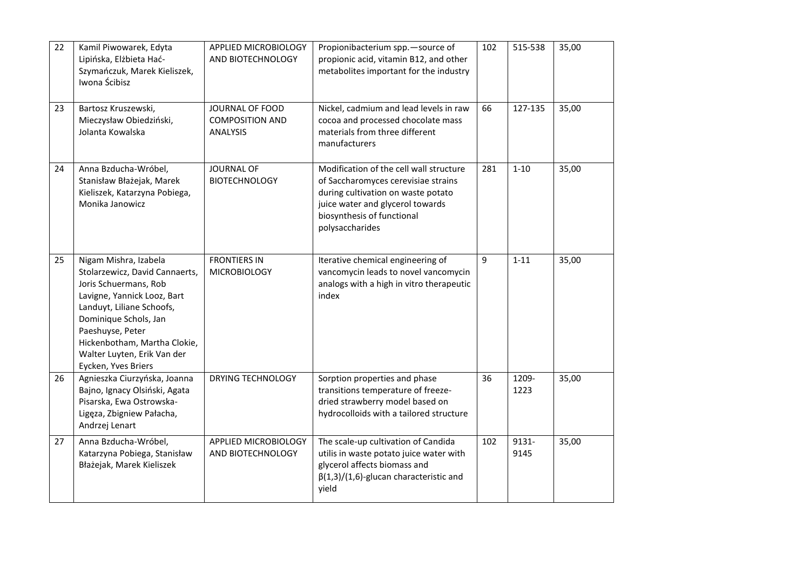| 22 | Kamil Piwowarek, Edyta<br>Lipińska, Elżbieta Hać-<br>Szymańczuk, Marek Kieliszek,<br>Iwona Ścibisz                                                                                                                                                                              | APPLIED MICROBIOLOGY<br>AND BIOTECHNOLOGY                    | Propionibacterium spp.-source of<br>propionic acid, vitamin B12, and other<br>metabolites important for the industry                                                                                      | 102 | 515-538       | 35,00 |
|----|---------------------------------------------------------------------------------------------------------------------------------------------------------------------------------------------------------------------------------------------------------------------------------|--------------------------------------------------------------|-----------------------------------------------------------------------------------------------------------------------------------------------------------------------------------------------------------|-----|---------------|-------|
| 23 | Bartosz Kruszewski,<br>Mieczysław Obiedziński,<br>Jolanta Kowalska                                                                                                                                                                                                              | JOURNAL OF FOOD<br><b>COMPOSITION AND</b><br><b>ANALYSIS</b> | Nickel, cadmium and lead levels in raw<br>cocoa and processed chocolate mass<br>materials from three different<br>manufacturers                                                                           | 66  | 127-135       | 35,00 |
| 24 | Anna Bzducha-Wróbel,<br>Stanisław Błażejak, Marek<br>Kieliszek, Katarzyna Pobiega,<br>Monika Janowicz                                                                                                                                                                           | <b>JOURNAL OF</b><br><b>BIOTECHNOLOGY</b>                    | Modification of the cell wall structure<br>of Saccharomyces cerevisiae strains<br>during cultivation on waste potato<br>juice water and glycerol towards<br>biosynthesis of functional<br>polysaccharides | 281 | $1 - 10$      | 35,00 |
| 25 | Nigam Mishra, Izabela<br>Stolarzewicz, David Cannaerts,<br>Joris Schuermans, Rob<br>Lavigne, Yannick Looz, Bart<br>Landuyt, Liliane Schoofs,<br>Dominique Schols, Jan<br>Paeshuyse, Peter<br>Hickenbotham, Martha Clokie,<br>Walter Luyten, Erik Van der<br>Eycken, Yves Briers | <b>FRONTIERS IN</b><br><b>MICROBIOLOGY</b>                   | Iterative chemical engineering of<br>vancomycin leads to novel vancomycin<br>analogs with a high in vitro therapeutic<br>index                                                                            | 9   | $1 - 11$      | 35,00 |
| 26 | Agnieszka Ciurzyńska, Joanna<br>Bajno, Ignacy Olsiński, Agata<br>Pisarska, Ewa Ostrowska-<br>Ligęza, Zbigniew Pałacha,<br>Andrzej Lenart                                                                                                                                        | <b>DRYING TECHNOLOGY</b>                                     | Sorption properties and phase<br>transitions temperature of freeze-<br>dried strawberry model based on<br>hydrocolloids with a tailored structure                                                         | 36  | 1209-<br>1223 | 35,00 |
| 27 | Anna Bzducha-Wróbel,<br>Katarzyna Pobiega, Stanisław<br>Błażejak, Marek Kieliszek                                                                                                                                                                                               | APPLIED MICROBIOLOGY<br>AND BIOTECHNOLOGY                    | The scale-up cultivation of Candida<br>utilis in waste potato juice water with<br>glycerol affects biomass and<br>$\beta(1,3)/(1,6)$ -glucan characteristic and<br>yield                                  | 102 | 9131-<br>9145 | 35,00 |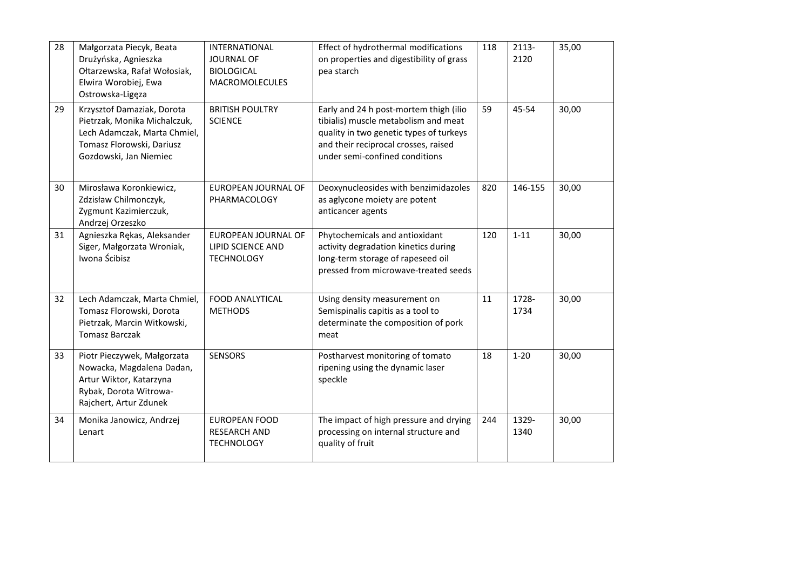| 28 | Małgorzata Piecyk, Beata<br>Drużyńska, Agnieszka<br>Ołtarzewska, Rafał Wołosiak,<br>Elwira Worobiej, Ewa<br>Ostrowska-Ligęza                      | <b>INTERNATIONAL</b><br><b>JOURNAL OF</b><br><b>BIOLOGICAL</b><br><b>MACROMOLECULES</b> | Effect of hydrothermal modifications<br>on properties and digestibility of grass<br>pea starch                                                                                                      | 118 | 2113-<br>2120 | 35,00 |
|----|---------------------------------------------------------------------------------------------------------------------------------------------------|-----------------------------------------------------------------------------------------|-----------------------------------------------------------------------------------------------------------------------------------------------------------------------------------------------------|-----|---------------|-------|
| 29 | Krzysztof Damaziak, Dorota<br>Pietrzak, Monika Michalczuk,<br>Lech Adamczak, Marta Chmiel,<br>Tomasz Florowski, Dariusz<br>Gozdowski, Jan Niemiec | <b>BRITISH POULTRY</b><br><b>SCIENCE</b>                                                | Early and 24 h post-mortem thigh (ilio<br>tibialis) muscle metabolism and meat<br>quality in two genetic types of turkeys<br>and their reciprocal crosses, raised<br>under semi-confined conditions | 59  | 45-54         | 30,00 |
| 30 | Mirosława Koronkiewicz,<br>Zdzisław Chilmonczyk,<br>Zygmunt Kazimierczuk,<br>Andrzej Orzeszko                                                     | <b>EUROPEAN JOURNAL OF</b><br>PHARMACOLOGY                                              | Deoxynucleosides with benzimidazoles<br>as aglycone moiety are potent<br>anticancer agents                                                                                                          | 820 | 146-155       | 30,00 |
| 31 | Agnieszka Rękas, Aleksander<br>Siger, Małgorzata Wroniak,<br>Iwona Ścibisz                                                                        | EUROPEAN JOURNAL OF<br><b>LIPID SCIENCE AND</b><br><b>TECHNOLOGY</b>                    | Phytochemicals and antioxidant<br>activity degradation kinetics during<br>long-term storage of rapeseed oil<br>pressed from microwave-treated seeds                                                 | 120 | $1 - 11$      | 30,00 |
| 32 | Lech Adamczak, Marta Chmiel,<br>Tomasz Florowski, Dorota<br>Pietrzak, Marcin Witkowski,<br><b>Tomasz Barczak</b>                                  | <b>FOOD ANALYTICAL</b><br><b>METHODS</b>                                                | Using density measurement on<br>Semispinalis capitis as a tool to<br>determinate the composition of pork<br>meat                                                                                    | 11  | 1728-<br>1734 | 30,00 |
| 33 | Piotr Pieczywek, Małgorzata<br>Nowacka, Magdalena Dadan,<br>Artur Wiktor, Katarzyna<br>Rybak, Dorota Witrowa-<br>Rajchert, Artur Zdunek           | <b>SENSORS</b>                                                                          | Postharvest monitoring of tomato<br>ripening using the dynamic laser<br>speckle                                                                                                                     | 18  | $1 - 20$      | 30,00 |
| 34 | Monika Janowicz, Andrzej<br>Lenart                                                                                                                | <b>EUROPEAN FOOD</b><br><b>RESEARCH AND</b><br><b>TECHNOLOGY</b>                        | The impact of high pressure and drying<br>processing on internal structure and<br>quality of fruit                                                                                                  | 244 | 1329-<br>1340 | 30,00 |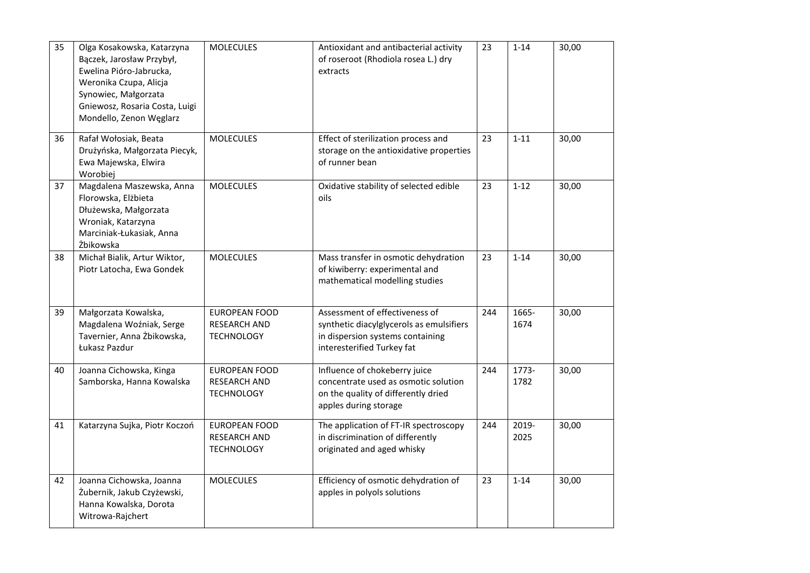| 35 | Olga Kosakowska, Katarzyna<br>Bączek, Jarosław Przybył,<br>Ewelina Pióro-Jabrucka,<br>Weronika Czupa, Alicja<br>Synowiec, Małgorzata<br>Gniewosz, Rosaria Costa, Luigi<br>Mondello, Zenon Węglarz | <b>MOLECULES</b>                                                 | Antioxidant and antibacterial activity<br>of roseroot (Rhodiola rosea L.) dry<br>extracts                                                    | 23  | $1 - 14$      | 30,00 |
|----|---------------------------------------------------------------------------------------------------------------------------------------------------------------------------------------------------|------------------------------------------------------------------|----------------------------------------------------------------------------------------------------------------------------------------------|-----|---------------|-------|
| 36 | Rafał Wołosiak, Beata<br>Drużyńska, Małgorzata Piecyk,<br>Ewa Majewska, Elwira<br>Worobiej                                                                                                        | <b>MOLECULES</b>                                                 | Effect of sterilization process and<br>storage on the antioxidative properties<br>of runner bean                                             | 23  | $1 - 11$      | 30,00 |
| 37 | Magdalena Maszewska, Anna<br>Florowska, Elżbieta<br>Dłużewska, Małgorzata<br>Wroniak, Katarzyna<br>Marciniak-Łukasiak, Anna<br>Żbikowska                                                          | <b>MOLECULES</b>                                                 | Oxidative stability of selected edible<br>oils                                                                                               | 23  | $1 - 12$      | 30,00 |
| 38 | Michał Bialik, Artur Wiktor,<br>Piotr Latocha, Ewa Gondek                                                                                                                                         | <b>MOLECULES</b>                                                 | Mass transfer in osmotic dehydration<br>of kiwiberry: experimental and<br>mathematical modelling studies                                     | 23  | $1 - 14$      | 30,00 |
| 39 | Małgorzata Kowalska,<br>Magdalena Woźniak, Serge<br>Tavernier, Anna Żbikowska,<br>Łukasz Pazdur                                                                                                   | <b>EUROPEAN FOOD</b><br><b>RESEARCH AND</b><br><b>TECHNOLOGY</b> | Assessment of effectiveness of<br>synthetic diacylglycerols as emulsifiers<br>in dispersion systems containing<br>interesterified Turkey fat | 244 | 1665-<br>1674 | 30,00 |
| 40 | Joanna Cichowska, Kinga<br>Samborska, Hanna Kowalska                                                                                                                                              | <b>EUROPEAN FOOD</b><br><b>RESEARCH AND</b><br><b>TECHNOLOGY</b> | Influence of chokeberry juice<br>concentrate used as osmotic solution<br>on the quality of differently dried<br>apples during storage        | 244 | 1773-<br>1782 | 30,00 |
| 41 | Katarzyna Sujka, Piotr Koczoń                                                                                                                                                                     | <b>EUROPEAN FOOD</b><br><b>RESEARCH AND</b><br><b>TECHNOLOGY</b> | The application of FT-IR spectroscopy<br>in discrimination of differently<br>originated and aged whisky                                      | 244 | 2019-<br>2025 | 30,00 |
| 42 | Joanna Cichowska, Joanna<br>Żubernik, Jakub Czyżewski,<br>Hanna Kowalska, Dorota<br>Witrowa-Rajchert                                                                                              | <b>MOLECULES</b>                                                 | Efficiency of osmotic dehydration of<br>apples in polyols solutions                                                                          | 23  | $1 - 14$      | 30,00 |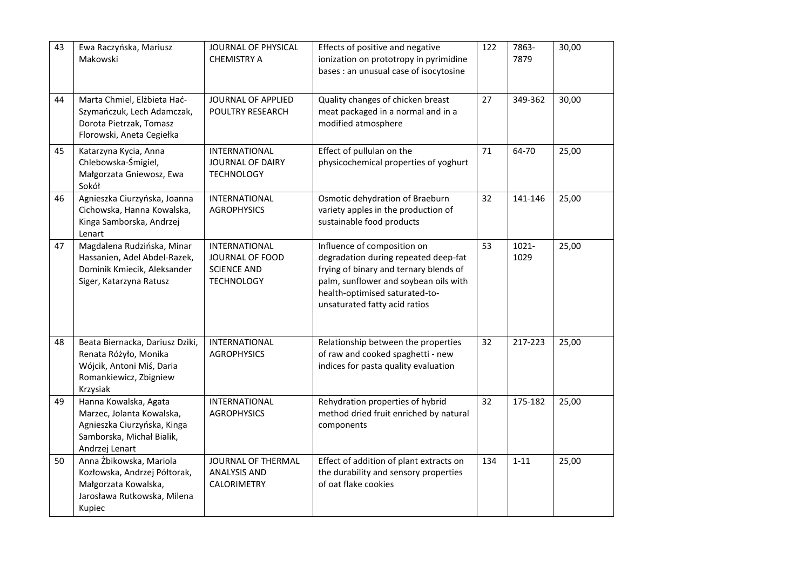| 43 | Ewa Raczyńska, Mariusz<br>Makowski                                                                                               | JOURNAL OF PHYSICAL<br><b>CHEMISTRY A</b>                                          | Effects of positive and negative<br>ionization on prototropy in pyrimidine<br>bases : an unusual case of isocytosine                                                                                                      | 122 | 7863-<br>7879 | 30,00 |
|----|----------------------------------------------------------------------------------------------------------------------------------|------------------------------------------------------------------------------------|---------------------------------------------------------------------------------------------------------------------------------------------------------------------------------------------------------------------------|-----|---------------|-------|
| 44 | Marta Chmiel, Elżbieta Hać-<br>Szymańczuk, Lech Adamczak,<br>Dorota Pietrzak, Tomasz<br>Florowski, Aneta Cegiełka                | JOURNAL OF APPLIED<br>POULTRY RESEARCH                                             | Quality changes of chicken breast<br>meat packaged in a normal and in a<br>modified atmosphere                                                                                                                            | 27  | 349-362       | 30,00 |
| 45 | Katarzyna Kycia, Anna<br>Chlebowska-Śmigiel,<br>Małgorzata Gniewosz, Ewa<br>Sokół                                                | INTERNATIONAL<br><b>JOURNAL OF DAIRY</b><br><b>TECHNOLOGY</b>                      | Effect of pullulan on the<br>physicochemical properties of yoghurt                                                                                                                                                        | 71  | 64-70         | 25,00 |
| 46 | Agnieszka Ciurzyńska, Joanna<br>Cichowska, Hanna Kowalska,<br>Kinga Samborska, Andrzej<br>Lenart                                 | INTERNATIONAL<br><b>AGROPHYSICS</b>                                                | Osmotic dehydration of Braeburn<br>variety apples in the production of<br>sustainable food products                                                                                                                       | 32  | 141-146       | 25,00 |
| 47 | Magdalena Rudzińska, Minar<br>Hassanien, Adel Abdel-Razek,<br>Dominik Kmiecik, Aleksander<br>Siger, Katarzyna Ratusz             | INTERNATIONAL<br><b>JOURNAL OF FOOD</b><br><b>SCIENCE AND</b><br><b>TECHNOLOGY</b> | Influence of composition on<br>degradation during repeated deep-fat<br>frying of binary and ternary blends of<br>palm, sunflower and soybean oils with<br>health-optimised saturated-to-<br>unsaturated fatty acid ratios | 53  | 1021-<br>1029 | 25,00 |
| 48 | Beata Biernacka, Dariusz Dziki,<br>Renata Różyło, Monika<br>Wójcik, Antoni Miś, Daria<br>Romankiewicz, Zbigniew<br>Krzysiak      | INTERNATIONAL<br><b>AGROPHYSICS</b>                                                | Relationship between the properties<br>of raw and cooked spaghetti - new<br>indices for pasta quality evaluation                                                                                                          | 32  | 217-223       | 25,00 |
| 49 | Hanna Kowalska, Agata<br>Marzec, Jolanta Kowalska,<br>Agnieszka Ciurzyńska, Kinga<br>Samborska, Michał Bialik,<br>Andrzej Lenart | INTERNATIONAL<br><b>AGROPHYSICS</b>                                                | Rehydration properties of hybrid<br>method dried fruit enriched by natural<br>components                                                                                                                                  | 32  | 175-182       | 25,00 |
| 50 | Anna Żbikowska, Mariola<br>Kozłowska, Andrzej Półtorak,<br>Małgorzata Kowalska,<br>Jarosława Rutkowska, Milena<br>Kupiec         | JOURNAL OF THERMAL<br><b>ANALYSIS AND</b><br>CALORIMETRY                           | Effect of addition of plant extracts on<br>the durability and sensory properties<br>of oat flake cookies                                                                                                                  | 134 | $1 - 11$      | 25,00 |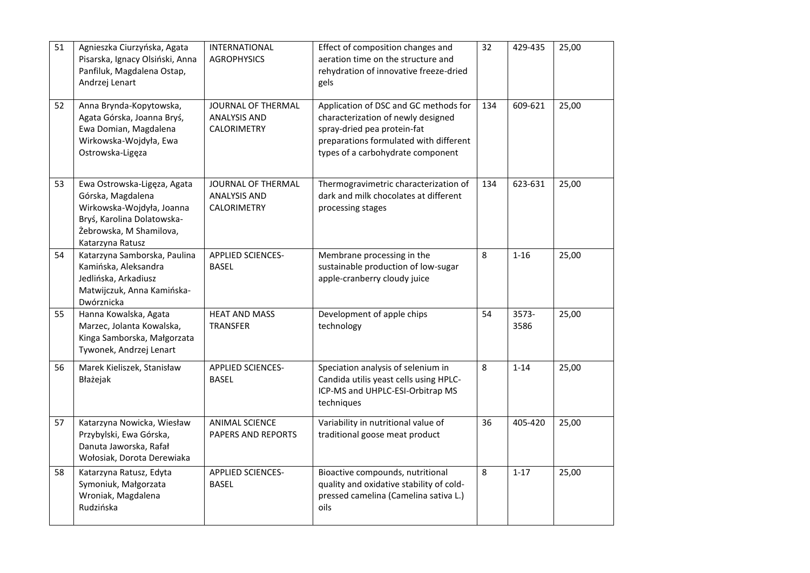| 51 | Agnieszka Ciurzyńska, Agata<br>Pisarska, Ignacy Olsiński, Anna<br>Panfiluk, Magdalena Ostap,<br>Andrzej Lenart                                             | INTERNATIONAL<br><b>AGROPHYSICS</b>                             | Effect of composition changes and<br>aeration time on the structure and<br>rehydration of innovative freeze-dried<br>gels                                                                 | 32  | 429-435       | 25,00 |
|----|------------------------------------------------------------------------------------------------------------------------------------------------------------|-----------------------------------------------------------------|-------------------------------------------------------------------------------------------------------------------------------------------------------------------------------------------|-----|---------------|-------|
| 52 | Anna Brynda-Kopytowska,<br>Agata Górska, Joanna Bryś,<br>Ewa Domian, Magdalena<br>Wirkowska-Wojdyła, Ewa<br>Ostrowska-Ligęza                               | JOURNAL OF THERMAL<br><b>ANALYSIS AND</b><br><b>CALORIMETRY</b> | Application of DSC and GC methods for<br>characterization of newly designed<br>spray-dried pea protein-fat<br>preparations formulated with different<br>types of a carbohydrate component | 134 | 609-621       | 25,00 |
| 53 | Ewa Ostrowska-Ligęza, Agata<br>Górska, Magdalena<br>Wirkowska-Wojdyła, Joanna<br>Bryś, Karolina Dolatowska-<br>Żebrowska, M Shamilova,<br>Katarzyna Ratusz | JOURNAL OF THERMAL<br><b>ANALYSIS AND</b><br>CALORIMETRY        | Thermogravimetric characterization of<br>dark and milk chocolates at different<br>processing stages                                                                                       | 134 | 623-631       | 25,00 |
| 54 | Katarzyna Samborska, Paulina<br>Kamińska, Aleksandra<br>Jedlińska, Arkadiusz<br>Matwijczuk, Anna Kamińska-<br>Dwórznicka                                   | APPLIED SCIENCES-<br><b>BASEL</b>                               | Membrane processing in the<br>sustainable production of low-sugar<br>apple-cranberry cloudy juice                                                                                         | 8   | $1 - 16$      | 25,00 |
| 55 | Hanna Kowalska, Agata<br>Marzec, Jolanta Kowalska,<br>Kinga Samborska, Małgorzata<br>Tywonek, Andrzej Lenart                                               | <b>HEAT AND MASS</b><br><b>TRANSFER</b>                         | Development of apple chips<br>technology                                                                                                                                                  | 54  | 3573-<br>3586 | 25,00 |
| 56 | Marek Kieliszek, Stanisław<br>Błażejak                                                                                                                     | <b>APPLIED SCIENCES-</b><br><b>BASEL</b>                        | Speciation analysis of selenium in<br>Candida utilis yeast cells using HPLC-<br>ICP-MS and UHPLC-ESI-Orbitrap MS<br>techniques                                                            | 8   | $1 - 14$      | 25,00 |
| 57 | Katarzyna Nowicka, Wiesław<br>Przybylski, Ewa Górska,<br>Danuta Jaworska, Rafał<br>Wołosiak, Dorota Derewiaka                                              | <b>ANIMAL SCIENCE</b><br>PAPERS AND REPORTS                     | Variability in nutritional value of<br>traditional goose meat product                                                                                                                     | 36  | 405-420       | 25,00 |
| 58 | Katarzyna Ratusz, Edyta<br>Symoniuk, Małgorzata<br>Wroniak, Magdalena<br>Rudzińska                                                                         | <b>APPLIED SCIENCES-</b><br><b>BASEL</b>                        | Bioactive compounds, nutritional<br>quality and oxidative stability of cold-<br>pressed camelina (Camelina sativa L.)<br>oils                                                             | 8   | $1 - 17$      | 25,00 |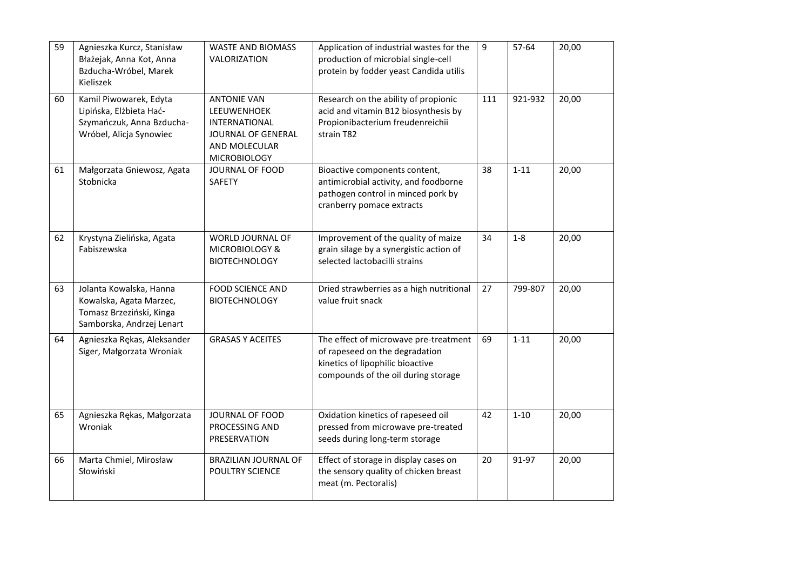| 59 | Agnieszka Kurcz, Stanisław<br>Błażejak, Anna Kot, Anna<br>Bzducha-Wróbel, Marek<br>Kieliszek                | <b>WASTE AND BIOMASS</b><br>VALORIZATION                                                                                | Application of industrial wastes for the<br>production of microbial single-cell<br>protein by fodder yeast Candida utilis                          | 9   | 57-64    | 20,00 |
|----|-------------------------------------------------------------------------------------------------------------|-------------------------------------------------------------------------------------------------------------------------|----------------------------------------------------------------------------------------------------------------------------------------------------|-----|----------|-------|
| 60 | Kamil Piwowarek, Edyta<br>Lipińska, Elżbieta Hać-<br>Szymańczuk, Anna Bzducha-<br>Wróbel, Alicja Synowiec   | <b>ANTONIE VAN</b><br>LEEUWENHOEK<br><b>INTERNATIONAL</b><br>JOURNAL OF GENERAL<br>AND MOLECULAR<br><b>MICROBIOLOGY</b> | Research on the ability of propionic<br>acid and vitamin B12 biosynthesis by<br>Propionibacterium freudenreichii<br>strain T82                     | 111 | 921-932  | 20,00 |
| 61 | Małgorzata Gniewosz, Agata<br>Stobnicka                                                                     | JOURNAL OF FOOD<br>SAFETY                                                                                               | Bioactive components content,<br>antimicrobial activity, and foodborne<br>pathogen control in minced pork by<br>cranberry pomace extracts          | 38  | $1 - 11$ | 20,00 |
| 62 | Krystyna Zielińska, Agata<br>Fabiszewska                                                                    | WORLD JOURNAL OF<br>MICROBIOLOGY &<br><b>BIOTECHNOLOGY</b>                                                              | Improvement of the quality of maize<br>grain silage by a synergistic action of<br>selected lactobacilli strains                                    | 34  | $1 - 8$  | 20,00 |
| 63 | Jolanta Kowalska, Hanna<br>Kowalska, Agata Marzec,<br>Tomasz Brzeziński, Kinga<br>Samborska, Andrzej Lenart | <b>FOOD SCIENCE AND</b><br><b>BIOTECHNOLOGY</b>                                                                         | Dried strawberries as a high nutritional<br>value fruit snack                                                                                      | 27  | 799-807  | 20,00 |
| 64 | Agnieszka Rękas, Aleksander<br>Siger, Małgorzata Wroniak                                                    | <b>GRASAS Y ACEITES</b>                                                                                                 | The effect of microwave pre-treatment<br>of rapeseed on the degradation<br>kinetics of lipophilic bioactive<br>compounds of the oil during storage | 69  | $1 - 11$ | 20,00 |
| 65 | Agnieszka Rękas, Małgorzata<br>Wroniak                                                                      | JOURNAL OF FOOD<br>PROCESSING AND<br>PRESERVATION                                                                       | Oxidation kinetics of rapeseed oil<br>pressed from microwave pre-treated<br>seeds during long-term storage                                         | 42  | $1 - 10$ | 20,00 |
| 66 | Marta Chmiel, Mirosław<br>Słowiński                                                                         | BRAZILIAN JOURNAL OF<br><b>POULTRY SCIENCE</b>                                                                          | Effect of storage in display cases on<br>the sensory quality of chicken breast<br>meat (m. Pectoralis)                                             | 20  | 91-97    | 20,00 |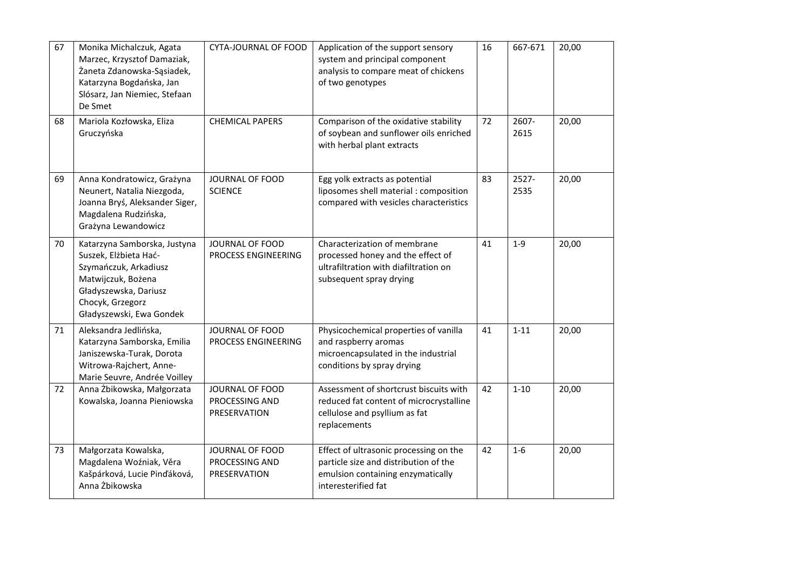| 67 | Monika Michalczuk, Agata<br>Marzec, Krzysztof Damaziak,<br>Żaneta Zdanowska-Sąsiadek,<br>Katarzyna Bogdańska, Jan<br>Slósarz, Jan Niemiec, Stefaan<br>De Smet                 | <b>CYTA-JOURNAL OF FOOD</b>                       | Application of the support sensory<br>system and principal component<br>analysis to compare meat of chickens<br>of two genotypes            | 16 | 667-671       | 20,00 |
|----|-------------------------------------------------------------------------------------------------------------------------------------------------------------------------------|---------------------------------------------------|---------------------------------------------------------------------------------------------------------------------------------------------|----|---------------|-------|
| 68 | Mariola Kozłowska, Eliza<br>Gruczyńska                                                                                                                                        | <b>CHEMICAL PAPERS</b>                            | Comparison of the oxidative stability<br>of soybean and sunflower oils enriched<br>with herbal plant extracts                               | 72 | 2607-<br>2615 | 20,00 |
| 69 | Anna Kondratowicz, Grażyna<br>Neunert, Natalia Niezgoda,<br>Joanna Bryś, Aleksander Siger,<br>Magdalena Rudzińska,<br>Grażyna Lewandowicz                                     | JOURNAL OF FOOD<br><b>SCIENCE</b>                 | Egg yolk extracts as potential<br>liposomes shell material : composition<br>compared with vesicles characteristics                          | 83 | 2527-<br>2535 | 20,00 |
| 70 | Katarzyna Samborska, Justyna<br>Suszek, Elżbieta Hać-<br>Szymańczuk, Arkadiusz<br>Matwijczuk, Bożena<br>Gładyszewska, Dariusz<br>Chocyk, Grzegorz<br>Gładyszewski, Ewa Gondek | JOURNAL OF FOOD<br>PROCESS ENGINEERING            | Characterization of membrane<br>processed honey and the effect of<br>ultrafiltration with diafiltration on<br>subsequent spray drying       | 41 | $1-9$         | 20,00 |
| 71 | Aleksandra Jedlińska,<br>Katarzyna Samborska, Emilia<br>Janiszewska-Turak, Dorota<br>Witrowa-Rajchert, Anne-<br>Marie Seuvre, Andrée Voilley                                  | JOURNAL OF FOOD<br>PROCESS ENGINEERING            | Physicochemical properties of vanilla<br>and raspberry aromas<br>microencapsulated in the industrial<br>conditions by spray drying          | 41 | $1 - 11$      | 20,00 |
| 72 | Anna Żbikowska, Małgorzata<br>Kowalska, Joanna Pieniowska                                                                                                                     | JOURNAL OF FOOD<br>PROCESSING AND<br>PRESERVATION | Assessment of shortcrust biscuits with<br>reduced fat content of microcrystalline<br>cellulose and psyllium as fat<br>replacements          | 42 | $1 - 10$      | 20,00 |
| 73 | Małgorzata Kowalska,<br>Magdalena Woźniak, Věra<br>Kašpárková, Lucie Pinďáková,<br>Anna Żbikowska                                                                             | JOURNAL OF FOOD<br>PROCESSING AND<br>PRESERVATION | Effect of ultrasonic processing on the<br>particle size and distribution of the<br>emulsion containing enzymatically<br>interesterified fat | 42 | $1-6$         | 20,00 |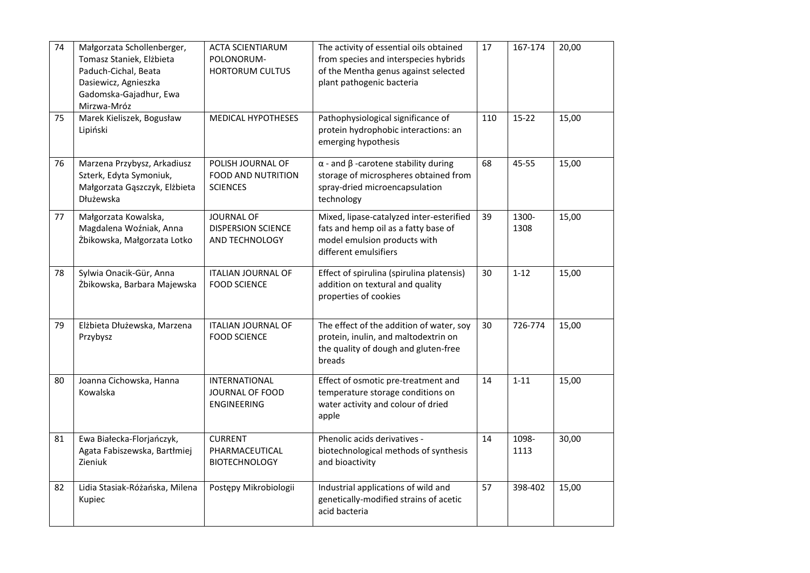| 74 | Małgorzata Schollenberger,<br>Tomasz Staniek, Elżbieta<br>Paduch-Cichal, Beata<br>Dasiewicz, Agnieszka<br>Gadomska-Gajadhur, Ewa<br>Mirzwa-Mróz | <b>ACTA SCIENTIARUM</b><br>POLONORUM-<br><b>HORTORUM CULTUS</b>   | The activity of essential oils obtained<br>from species and interspecies hybrids<br>of the Mentha genus against selected<br>plant pathogenic bacteria | 17  | 167-174       | 20,00 |
|----|-------------------------------------------------------------------------------------------------------------------------------------------------|-------------------------------------------------------------------|-------------------------------------------------------------------------------------------------------------------------------------------------------|-----|---------------|-------|
| 75 | Marek Kieliszek, Bogusław<br>Lipiński                                                                                                           | <b>MEDICAL HYPOTHESES</b>                                         | Pathophysiological significance of<br>protein hydrophobic interactions: an<br>emerging hypothesis                                                     | 110 | $15 - 22$     | 15,00 |
| 76 | Marzena Przybysz, Arkadiusz<br>Szterk, Edyta Symoniuk,<br>Małgorzata Gąszczyk, Elżbieta<br>Dłużewska                                            | POLISH JOURNAL OF<br><b>FOOD AND NUTRITION</b><br><b>SCIENCES</b> | $\alpha$ - and $\beta$ -carotene stability during<br>storage of microspheres obtained from<br>spray-dried microencapsulation<br>technology            | 68  | 45-55         | 15,00 |
| 77 | Małgorzata Kowalska,<br>Magdalena Woźniak, Anna<br>Żbikowska, Małgorzata Lotko                                                                  | <b>JOURNAL OF</b><br><b>DISPERSION SCIENCE</b><br>AND TECHNOLOGY  | Mixed, lipase-catalyzed inter-esterified<br>fats and hemp oil as a fatty base of<br>model emulsion products with<br>different emulsifiers             | 39  | 1300-<br>1308 | 15,00 |
| 78 | Sylwia Onacik-Gür, Anna<br>Żbikowska, Barbara Majewska                                                                                          | <b>ITALIAN JOURNAL OF</b><br><b>FOOD SCIENCE</b>                  | Effect of spirulina (spirulina platensis)<br>addition on textural and quality<br>properties of cookies                                                | 30  | $1 - 12$      | 15,00 |
| 79 | Elżbieta Dłużewska, Marzena<br>Przybysz                                                                                                         | <b>ITALIAN JOURNAL OF</b><br><b>FOOD SCIENCE</b>                  | The effect of the addition of water, soy<br>protein, inulin, and maltodextrin on<br>the quality of dough and gluten-free<br>breads                    | 30  | 726-774       | 15,00 |
| 80 | Joanna Cichowska, Hanna<br>Kowalska                                                                                                             | <b>INTERNATIONAL</b><br>JOURNAL OF FOOD<br>ENGINEERING            | Effect of osmotic pre-treatment and<br>temperature storage conditions on<br>water activity and colour of dried<br>apple                               | 14  | $1 - 11$      | 15,00 |
| 81 | Ewa Białecka-Florjańczyk,<br>Agata Fabiszewska, Bartłmiej<br>Zieniuk                                                                            | <b>CURRENT</b><br>PHARMACEUTICAL<br><b>BIOTECHNOLOGY</b>          | Phenolic acids derivatives -<br>biotechnological methods of synthesis<br>and bioactivity                                                              | 14  | 1098-<br>1113 | 30,00 |
| 82 | Lidia Stasiak-Różańska, Milena<br>Kupiec                                                                                                        | Postępy Mikrobiologii                                             | Industrial applications of wild and<br>genetically-modified strains of acetic<br>acid bacteria                                                        | 57  | 398-402       | 15,00 |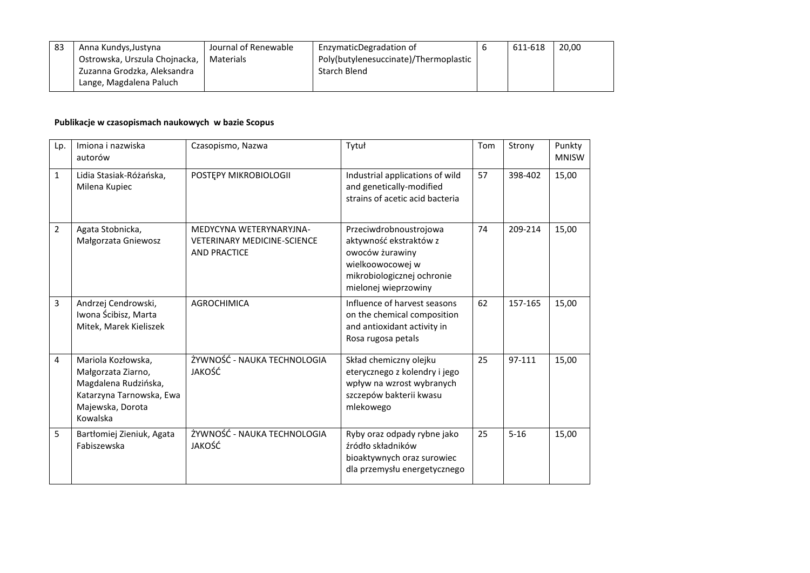| 83 | Anna Kundys, Justyna          | Journal of Renewable | EnzymaticDegradation of               | 611-618 | 20,00 |
|----|-------------------------------|----------------------|---------------------------------------|---------|-------|
|    | Ostrowska, Urszula Chojnacka, | Materials            | Poly(butylenesuccinate)/Thermoplastic |         |       |
|    | Zuzanna Grodzka, Aleksandra   |                      | Starch Blend                          |         |       |
|    | Lange, Magdalena Paluch       |                      |                                       |         |       |

## **Publikacje w czasopismach naukowych w bazie Scopus**

| Lp.            | Imiona i nazwiska<br>autorów                                                                                                 | Czasopismo, Nazwa                                                                    | Tytuł                                                                                                                                         | Tom | Strony   | Punkty<br><b>MNISW</b> |
|----------------|------------------------------------------------------------------------------------------------------------------------------|--------------------------------------------------------------------------------------|-----------------------------------------------------------------------------------------------------------------------------------------------|-----|----------|------------------------|
| $\mathbf{1}$   | Lidia Stasiak-Różańska,<br>Milena Kupiec                                                                                     | POSTEPY MIKROBIOLOGII                                                                | Industrial applications of wild<br>and genetically-modified<br>strains of acetic acid bacteria                                                | 57  | 398-402  | 15,00                  |
| $\overline{2}$ | Agata Stobnicka,<br>Małgorzata Gniewosz                                                                                      | MEDYCYNA WETERYNARYJNA-<br><b>VETERINARY MEDICINE-SCIENCE</b><br><b>AND PRACTICE</b> | Przeciwdrobnoustrojowa<br>aktywność ekstraktów z<br>owoców żurawiny<br>wielkoowocowej w<br>mikrobiologicznej ochronie<br>mielonej wieprzowiny | 74  | 209-214  | 15,00                  |
| 3              | Andrzej Cendrowski,<br>Iwona Ścibisz, Marta<br>Mitek, Marek Kieliszek                                                        | AGROCHIMICA                                                                          | Influence of harvest seasons<br>on the chemical composition<br>and antioxidant activity in<br>Rosa rugosa petals                              | 62  | 157-165  | 15,00                  |
| 4              | Mariola Kozłowska,<br>Małgorzata Ziarno,<br>Magdalena Rudzińska,<br>Katarzyna Tarnowska, Ewa<br>Majewska, Dorota<br>Kowalska | ŻYWNOŚĆ - NAUKA TECHNOLOGIA<br>JAKOŚĆ                                                | Skład chemiczny olejku<br>eterycznego z kolendry i jego<br>wpływ na wzrost wybranych<br>szczepów bakterii kwasu<br>mlekowego                  | 25  | 97-111   | 15,00                  |
| 5              | Bartłomiej Zieniuk, Agata<br>Fabiszewska                                                                                     | ŻYWNOŚĆ - NAUKA TECHNOLOGIA<br>JAKOŚĆ                                                | Ryby oraz odpady rybne jako<br>źródło składników<br>bioaktywnych oraz surowiec<br>dla przemysłu energetycznego                                | 25  | $5 - 16$ | 15,00                  |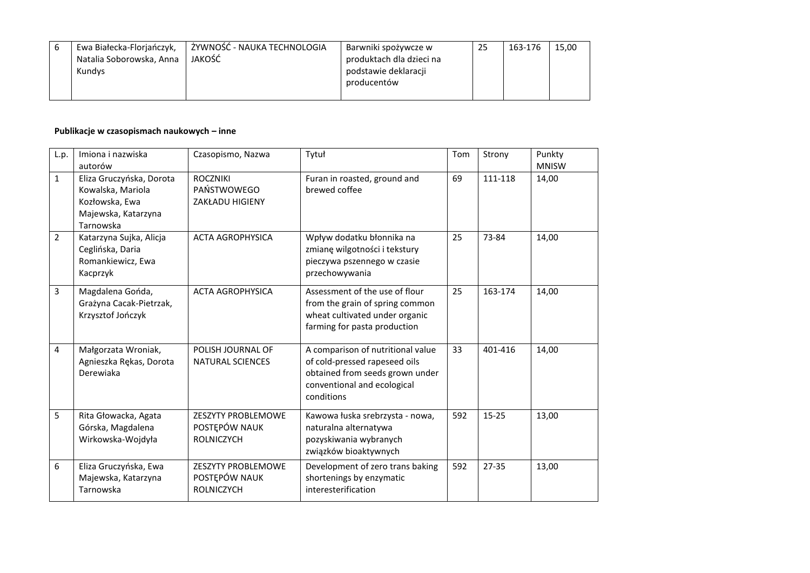|  | Ewa Białecka-Florjańczyk,<br>Natalia Soborowska, Anna<br>Kundys | , ŻYWNOŚĆ - NAUKA TECHNOLOGIA<br>JAKOŚĆ | Barwniki spożywcze w<br>produktach dla dzieci na<br>podstawie deklaracji<br>producentów | 25 | 163-176 | 15,00 |
|--|-----------------------------------------------------------------|-----------------------------------------|-----------------------------------------------------------------------------------------|----|---------|-------|
|--|-----------------------------------------------------------------|-----------------------------------------|-----------------------------------------------------------------------------------------|----|---------|-------|

## **Publikacje w czasopismach naukowych – inne**

| L.p.           | Imiona i nazwiska<br>autorów                                                                        | Czasopismo, Nazwa                                               | Tytuł                                                                                                                                              | Tom | Strony    | Punkty<br><b>MNISW</b> |
|----------------|-----------------------------------------------------------------------------------------------------|-----------------------------------------------------------------|----------------------------------------------------------------------------------------------------------------------------------------------------|-----|-----------|------------------------|
| $\mathbf{1}$   | Eliza Gruczyńska, Dorota<br>Kowalska, Mariola<br>Kozłowska, Ewa<br>Majewska, Katarzyna<br>Tarnowska | <b>ROCZNIKI</b><br>PAŃSTWOWEGO<br><b>ZAKŁADU HIGIENY</b>        | Furan in roasted, ground and<br>brewed coffee                                                                                                      | 69  | 111-118   | 14,00                  |
| $\overline{2}$ | Katarzyna Sujka, Alicja<br>Ceglińska, Daria<br>Romankiewicz, Ewa<br>Kacprzyk                        | <b>ACTA AGROPHYSICA</b>                                         | Wpływ dodatku błonnika na<br>zmianę wilgotności i tekstury<br>pieczywa pszennego w czasie<br>przechowywania                                        | 25  | 73-84     | 14,00                  |
| 3              | Magdalena Gońda,<br>Grażyna Cacak-Pietrzak,<br>Krzysztof Jończyk                                    | <b>ACTA AGROPHYSICA</b>                                         | Assessment of the use of flour<br>from the grain of spring common<br>wheat cultivated under organic<br>farming for pasta production                | 25  | 163-174   | 14,00                  |
| 4              | Małgorzata Wroniak,<br>Agnieszka Rękas, Dorota<br>Derewiaka                                         | POLISH JOURNAL OF<br><b>NATURAL SCIENCES</b>                    | A comparison of nutritional value<br>of cold-pressed rapeseed oils<br>obtained from seeds grown under<br>conventional and ecological<br>conditions | 33  | 401-416   | 14,00                  |
| 5              | Rita Głowacka, Agata<br>Górska, Magdalena<br>Wirkowska-Wojdyła                                      | <b>ZESZYTY PROBLEMOWE</b><br>POSTĘPÓW NAUK<br><b>ROLNICZYCH</b> | Kawowa łuska srebrzysta - nowa,<br>naturalna alternatywa<br>pozyskiwania wybranych<br>związków bioaktywnych                                        | 592 | $15 - 25$ | 13,00                  |
| 6              | Eliza Gruczyńska, Ewa<br>Majewska, Katarzyna<br>Tarnowska                                           | <b>ZESZYTY PROBLEMOWE</b><br>POSTEPÓW NAUK<br><b>ROLNICZYCH</b> | Development of zero trans baking<br>shortenings by enzymatic<br>interesterification                                                                | 592 | $27 - 35$ | 13,00                  |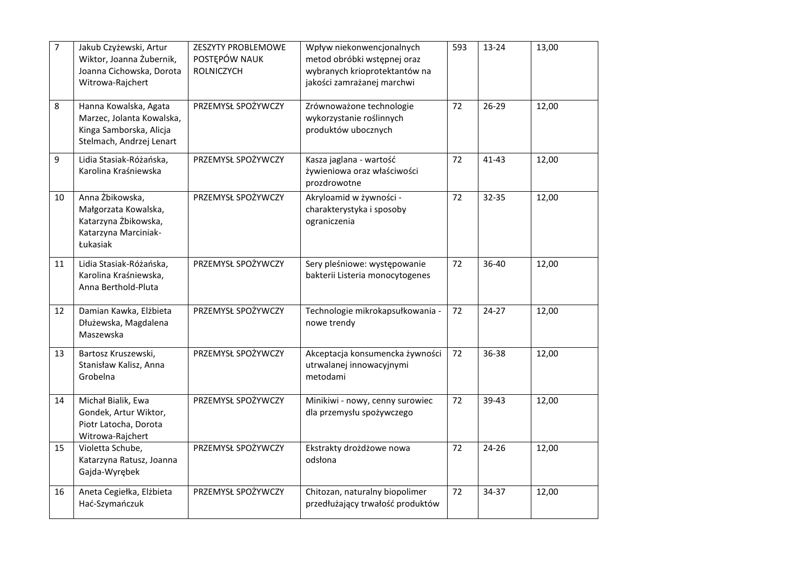| $\overline{7}$ | Jakub Czyżewski, Artur<br>Wiktor, Joanna Żubernik,<br>Joanna Cichowska, Dorota<br>Witrowa-Rajchert        | ZESZYTY PROBLEMOWE<br>POSTĘPÓW NAUK<br><b>ROLNICZYCH</b> | Wpływ niekonwencjonalnych<br>metod obróbki wstępnej oraz<br>wybranych krioprotektantów na<br>jakości zamrażanej marchwi | 593 | 13-24     | 13,00 |
|----------------|-----------------------------------------------------------------------------------------------------------|----------------------------------------------------------|-------------------------------------------------------------------------------------------------------------------------|-----|-----------|-------|
| 8              | Hanna Kowalska, Agata<br>Marzec, Jolanta Kowalska,<br>Kinga Samborska, Alicja<br>Stelmach, Andrzej Lenart | PRZEMYSŁ SPOŻYWCZY                                       | Zrównoważone technologie<br>wykorzystanie roślinnych<br>produktów ubocznych                                             | 72  | $26 - 29$ | 12,00 |
| 9              | Lidia Stasiak-Różańska,<br>Karolina Kraśniewska                                                           | PRZEMYSŁ SPOŻYWCZY                                       | Kasza jaglana - wartość<br>żywieniowa oraz właściwości<br>prozdrowotne                                                  | 72  | $41 - 43$ | 12,00 |
| 10             | Anna Żbikowska,<br>Małgorzata Kowalska,<br>Katarzyna Żbikowska,<br>Katarzyna Marciniak-<br>Łukasiak       | PRZEMYSŁ SPOŻYWCZY                                       | Akryloamid w żywności -<br>charakterystyka i sposoby<br>ograniczenia                                                    | 72  | 32-35     | 12,00 |
| 11             | Lidia Stasiak-Różańska,<br>Karolina Kraśniewska,<br>Anna Berthold-Pluta                                   | PRZEMYSŁ SPOŻYWCZY                                       | Sery pleśniowe: występowanie<br>bakterii Listeria monocytogenes                                                         | 72  | 36-40     | 12,00 |
| 12             | Damian Kawka, Elżbieta<br>Dłużewska, Magdalena<br>Maszewska                                               | PRZEMYSŁ SPOŻYWCZY                                       | Technologie mikrokapsułkowania -<br>nowe trendy                                                                         | 72  | $24-27$   | 12,00 |
| 13             | Bartosz Kruszewski,<br>Stanisław Kalisz, Anna<br>Grobelna                                                 | PRZEMYSŁ SPOŻYWCZY                                       | Akceptacja konsumencka żywności<br>utrwalanej innowacyjnymi<br>metodami                                                 | 72  | 36-38     | 12,00 |
| 14             | Michał Bialik, Ewa<br>Gondek, Artur Wiktor,<br>Piotr Latocha, Dorota<br>Witrowa-Rajchert                  | PRZEMYSŁ SPOŻYWCZY                                       | Minikiwi - nowy, cenny surowiec<br>dla przemysłu spożywczego                                                            | 72  | 39-43     | 12,00 |
| 15             | Violetta Schube,<br>Katarzyna Ratusz, Joanna<br>Gajda-Wyrębek                                             | PRZEMYSŁ SPOŻYWCZY                                       | Ekstrakty drożdżowe nowa<br>odsłona                                                                                     | 72  | 24-26     | 12,00 |
| 16             | Aneta Cegiełka, Elżbieta<br>Hać-Szymańczuk                                                                | PRZEMYSŁ SPOŻYWCZY                                       | Chitozan, naturalny biopolimer<br>przedłużający trwałość produktów                                                      | 72  | 34-37     | 12,00 |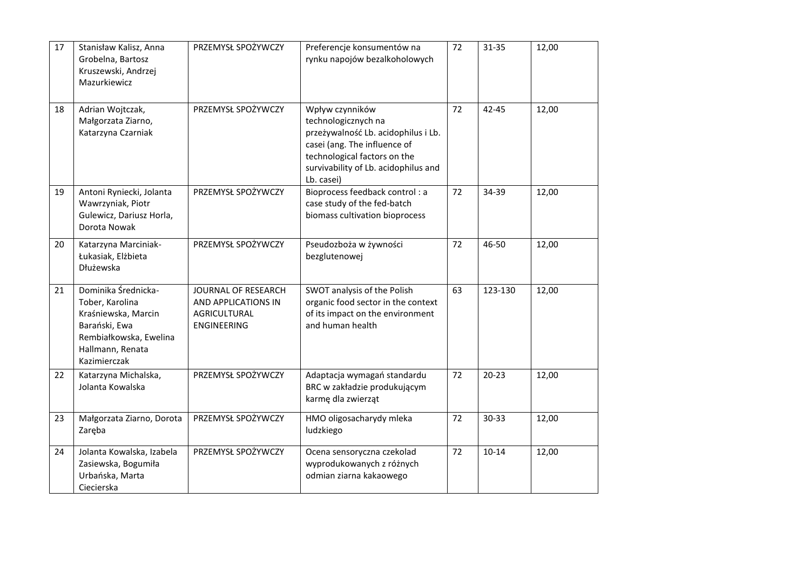| 17 | Stanisław Kalisz, Anna<br>Grobelna, Bartosz<br>Kruszewski, Andrzej<br>Mazurkiewicz                                                           | PRZEMYSŁ SPOŻYWCZY                                                                      | Preferencje konsumentów na<br>rynku napojów bezalkoholowych                                                                                                                                         | 72 | 31-35     | 12,00 |
|----|----------------------------------------------------------------------------------------------------------------------------------------------|-----------------------------------------------------------------------------------------|-----------------------------------------------------------------------------------------------------------------------------------------------------------------------------------------------------|----|-----------|-------|
| 18 | Adrian Wojtczak,<br>Małgorzata Ziarno,<br>Katarzyna Czarniak                                                                                 | PRZEMYSŁ SPOŻYWCZY                                                                      | Wpływ czynników<br>technologicznych na<br>przeżywalność Lb. acidophilus i Lb.<br>casei (ang. The influence of<br>technological factors on the<br>survivability of Lb. acidophilus and<br>Lb. casei) | 72 | $42 - 45$ | 12,00 |
| 19 | Antoni Ryniecki, Jolanta<br>Wawrzyniak, Piotr<br>Gulewicz, Dariusz Horla,<br>Dorota Nowak                                                    | PRZEMYSŁ SPOŻYWCZY                                                                      | Bioprocess feedback control: a<br>case study of the fed-batch<br>biomass cultivation bioprocess                                                                                                     | 72 | 34-39     | 12,00 |
| 20 | Katarzyna Marciniak-<br>Łukasiak, Elżbieta<br>Dłużewska                                                                                      | PRZEMYSŁ SPOŻYWCZY                                                                      | Pseudozboża w żywności<br>bezglutenowej                                                                                                                                                             | 72 | 46-50     | 12,00 |
| 21 | Dominika Średnicka-<br>Tober, Karolina<br>Kraśniewska, Marcin<br>Barański, Ewa<br>Rembiałkowska, Ewelina<br>Hallmann, Renata<br>Kazimierczak | JOURNAL OF RESEARCH<br>AND APPLICATIONS IN<br><b>AGRICULTURAL</b><br><b>ENGINEERING</b> | SWOT analysis of the Polish<br>organic food sector in the context<br>of its impact on the environment<br>and human health                                                                           | 63 | 123-130   | 12,00 |
| 22 | Katarzyna Michalska,<br>Jolanta Kowalska                                                                                                     | PRZEMYSŁ SPOŻYWCZY                                                                      | Adaptacja wymagań standardu<br>BRC w zakładzie produkującym<br>karmę dla zwierząt                                                                                                                   | 72 | $20 - 23$ | 12,00 |
| 23 | Małgorzata Ziarno, Dorota<br>Zaręba                                                                                                          | PRZEMYSŁ SPOŻYWCZY                                                                      | HMO oligosacharydy mleka<br>ludzkiego                                                                                                                                                               | 72 | 30-33     | 12,00 |
| 24 | Jolanta Kowalska, Izabela<br>Zasiewska, Bogumiła<br>Urbańska, Marta<br>Ciecierska                                                            | PRZEMYSŁ SPOŻYWCZY                                                                      | Ocena sensoryczna czekolad<br>wyprodukowanych z różnych<br>odmian ziarna kakaowego                                                                                                                  | 72 | $10 - 14$ | 12,00 |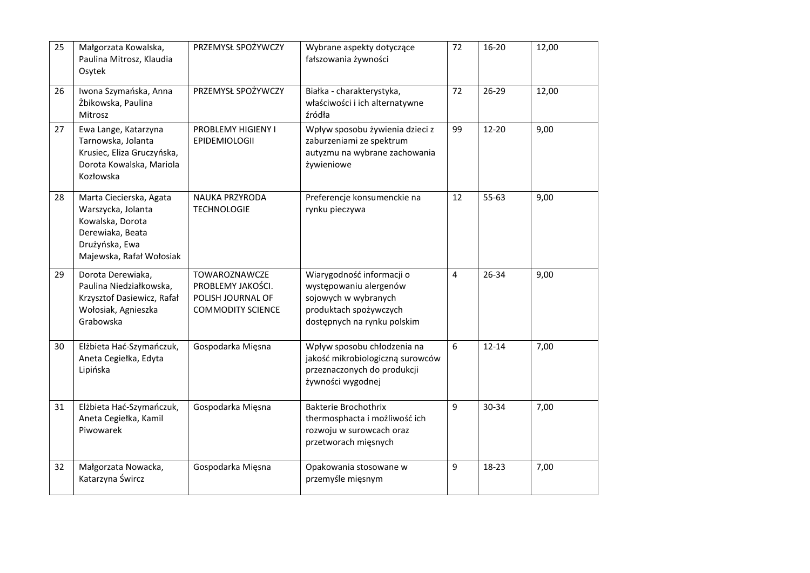| 25 | Małgorzata Kowalska,<br>Paulina Mitrosz, Klaudia<br>Osytek                                                                          | PRZEMYSŁ SPOŻYWCZY                                                                  | Wybrane aspekty dotyczące<br>fałszowania żywności                                                                                    | 72                      | $16 - 20$ | 12,00 |
|----|-------------------------------------------------------------------------------------------------------------------------------------|-------------------------------------------------------------------------------------|--------------------------------------------------------------------------------------------------------------------------------------|-------------------------|-----------|-------|
| 26 | Iwona Szymańska, Anna<br>Żbikowska, Paulina<br>Mitrosz                                                                              | PRZEMYSŁ SPOŻYWCZY                                                                  | Białka - charakterystyka,<br>właściwości i ich alternatywne<br>źródła                                                                | 72                      | 26-29     | 12,00 |
| 27 | Ewa Lange, Katarzyna<br>Tarnowska, Jolanta<br>Krusiec, Eliza Gruczyńska,<br>Dorota Kowalska, Mariola<br>Kozłowska                   | PROBLEMY HIGIENY I<br>EPIDEMIOLOGII                                                 | Wpływ sposobu żywienia dzieci z<br>zaburzeniami ze spektrum<br>autyzmu na wybrane zachowania<br>żywieniowe                           | 99                      | $12 - 20$ | 9,00  |
| 28 | Marta Ciecierska, Agata<br>Warszycka, Jolanta<br>Kowalska, Dorota<br>Derewiaka, Beata<br>Drużyńska, Ewa<br>Majewska, Rafał Wołosiak | NAUKA PRZYRODA<br><b>TECHNOLOGIE</b>                                                | Preferencje konsumenckie na<br>rynku pieczywa                                                                                        | 12                      | 55-63     | 9,00  |
| 29 | Dorota Derewiaka,<br>Paulina Niedziałkowska,<br>Krzysztof Dasiewicz, Rafał<br>Wołosiak, Agnieszka<br>Grabowska                      | TOWAROZNAWCZE<br>PROBLEMY JAKOŚCI.<br>POLISH JOURNAL OF<br><b>COMMODITY SCIENCE</b> | Wiarygodność informacji o<br>występowaniu alergenów<br>sojowych w wybranych<br>produktach spożywczych<br>dostępnych na rynku polskim | $\overline{\mathbf{4}}$ | 26-34     | 9,00  |
| 30 | Elżbieta Hać-Szymańczuk,<br>Aneta Cegiełka, Edyta<br>Lipińska                                                                       | Gospodarka Mięsna                                                                   | Wpływ sposobu chłodzenia na<br>jakość mikrobiologiczną surowców<br>przeznaczonych do produkcji<br>żywności wygodnej                  | 6                       | $12 - 14$ | 7,00  |
| 31 | Elżbieta Hać-Szymańczuk,<br>Aneta Cegiełka, Kamil<br>Piwowarek                                                                      | Gospodarka Mięsna                                                                   | Bakterie Brochothrix<br>thermosphacta i możliwość ich<br>rozwoju w surowcach oraz<br>przetworach mięsnych                            | 9                       | 30-34     | 7,00  |
| 32 | Małgorzata Nowacka,<br>Katarzyna Śwircz                                                                                             | Gospodarka Mięsna                                                                   | Opakowania stosowane w<br>przemyśle mięsnym                                                                                          | 9                       | 18-23     | 7,00  |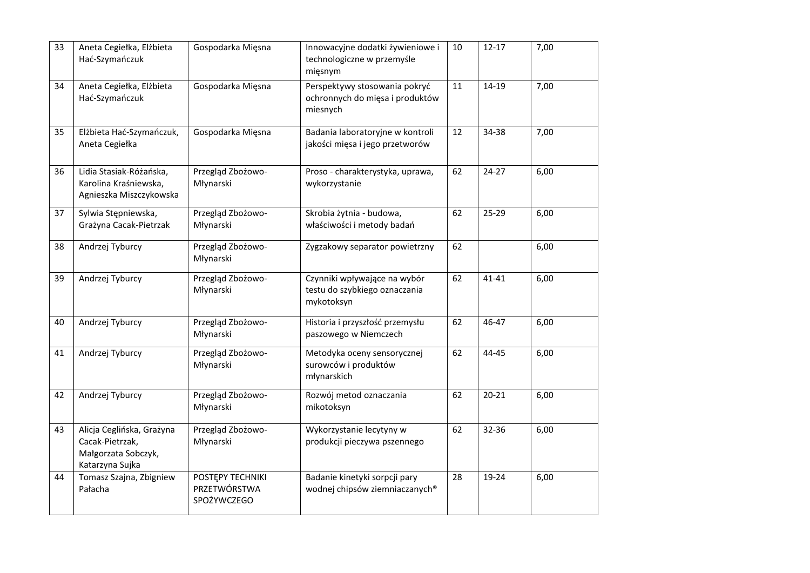| 33 | Aneta Cegiełka, Elżbieta<br>Hać-Szymańczuk                                             | Gospodarka Mięsna                               | Innowacyjne dodatki żywieniowe i<br>technologiczne w przemyśle<br>mięsnym    | 10 | $12 - 17$ | 7,00 |
|----|----------------------------------------------------------------------------------------|-------------------------------------------------|------------------------------------------------------------------------------|----|-----------|------|
| 34 | Aneta Cegiełka, Elżbieta<br>Hać-Szymańczuk                                             | Gospodarka Mięsna                               | Perspektywy stosowania pokryć<br>ochronnych do mięsa i produktów<br>miesnych | 11 | 14-19     | 7,00 |
| 35 | Elżbieta Hać-Szymańczuk,<br>Aneta Cegiełka                                             | Gospodarka Mięsna                               | Badania laboratoryjne w kontroli<br>jakości mięsa i jego przetworów          | 12 | 34-38     | 7,00 |
| 36 | Lidia Stasiak-Różańska,<br>Karolina Kraśniewska,<br>Agnieszka Miszczykowska            | Przegląd Zbożowo-<br>Młynarski                  | Proso - charakterystyka, uprawa,<br>wykorzystanie                            | 62 | $24 - 27$ | 6,00 |
| 37 | Sylwia Stępniewska,<br>Grażyna Cacak-Pietrzak                                          | Przegląd Zbożowo-<br>Młynarski                  | Skrobia żytnia - budowa,<br>właściwości i metody badań                       | 62 | $25 - 29$ | 6,00 |
| 38 | Andrzej Tyburcy                                                                        | Przegląd Zbożowo-<br>Młynarski                  | Zygzakowy separator powietrzny                                               | 62 |           | 6,00 |
| 39 | Andrzej Tyburcy                                                                        | Przegląd Zbożowo-<br>Młynarski                  | Czynniki wpływające na wybór<br>testu do szybkiego oznaczania<br>mykotoksyn  | 62 | 41-41     | 6,00 |
| 40 | Andrzej Tyburcy                                                                        | Przegląd Zbożowo-<br>Młynarski                  | Historia i przyszłość przemysłu<br>paszowego w Niemczech                     | 62 | 46-47     | 6,00 |
| 41 | Andrzej Tyburcy                                                                        | Przegląd Zbożowo-<br>Młynarski                  | Metodyka oceny sensorycznej<br>surowców i produktów<br>młynarskich           | 62 | 44-45     | 6,00 |
| 42 | Andrzej Tyburcy                                                                        | Przegląd Zbożowo-<br>Młynarski                  | Rozwój metod oznaczania<br>mikotoksyn                                        | 62 | $20 - 21$ | 6,00 |
| 43 | Alicja Ceglińska, Grażyna<br>Cacak-Pietrzak,<br>Małgorzata Sobczyk,<br>Katarzyna Sujka | Przegląd Zbożowo-<br>Młynarski                  | Wykorzystanie lecytyny w<br>produkcji pieczywa pszennego                     | 62 | 32-36     | 6,00 |
| 44 | Tomasz Szajna, Zbigniew<br>Pałacha                                                     | POSTĘPY TECHNIKI<br>PRZETWÓRSTWA<br>SPOŻYWCZEGO | Badanie kinetyki sorpcji pary<br>wodnej chipsów ziemniaczanych®              | 28 | 19-24     | 6,00 |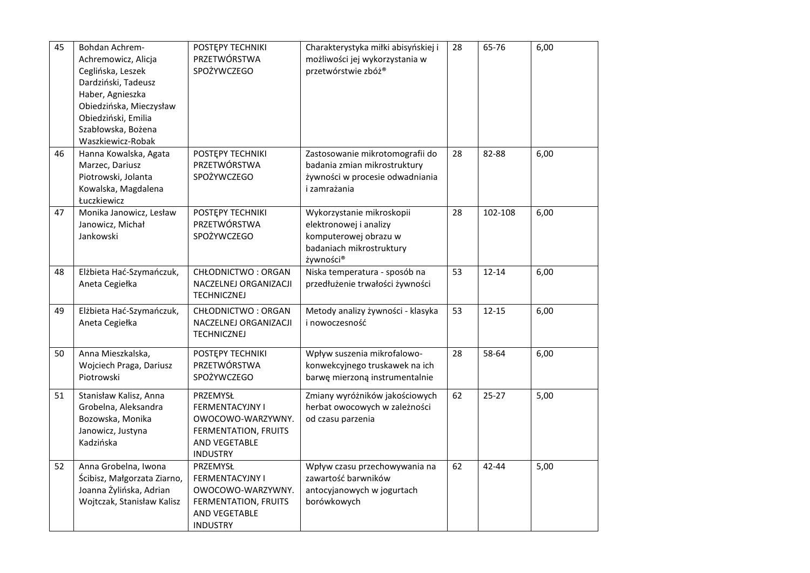| 45 | Bohdan Achrem-<br>Achremowicz, Alicja                                                                                                | POSTĘPY TECHNIKI<br>PRZETWÓRSTWA<br>SPOŻYWCZEGO                                                                            | Charakterystyka miłki abisyńskiej i<br>możliwości jej wykorzystania w<br>przetwórstwie zbóż®                          | 28 | 65-76     | 6,00 |
|----|--------------------------------------------------------------------------------------------------------------------------------------|----------------------------------------------------------------------------------------------------------------------------|-----------------------------------------------------------------------------------------------------------------------|----|-----------|------|
|    | Ceglińska, Leszek<br>Dardziński, Tadeusz<br>Haber, Agnieszka<br>Obiedzińska, Mieczysław<br>Obiedziński, Emilia<br>Szabłowska, Bożena |                                                                                                                            |                                                                                                                       |    |           |      |
| 46 | Waszkiewicz-Robak<br>Hanna Kowalska, Agata<br>Marzec, Dariusz<br>Piotrowski, Jolanta<br>Kowalska, Magdalena<br>Łuczkiewicz           | POSTĘPY TECHNIKI<br>PRZETWÓRSTWA<br>SPOŻYWCZEGO                                                                            | Zastosowanie mikrotomografii do<br>badania zmian mikrostruktury<br>żywności w procesie odwadniania<br>i zamrażania    | 28 | 82-88     | 6,00 |
| 47 | Monika Janowicz, Lesław<br>Janowicz, Michał<br>Jankowski                                                                             | POSTĘPY TECHNIKI<br>PRZETWÓRSTWA<br>SPOŻYWCZEGO                                                                            | Wykorzystanie mikroskopii<br>elektronowej i analizy<br>komputerowej obrazu w<br>badaniach mikrostruktury<br>żywności® | 28 | 102-108   | 6,00 |
| 48 | Elżbieta Hać-Szymańczuk,<br>Aneta Cegiełka                                                                                           | CHŁODNICTWO: ORGAN<br>NACZELNEJ ORGANIZACJI<br><b>TECHNICZNEJ</b>                                                          | Niska temperatura - sposób na<br>przedłużenie trwałości żywności                                                      | 53 | $12 - 14$ | 6,00 |
| 49 | Elżbieta Hać-Szymańczuk,<br>Aneta Cegiełka                                                                                           | CHŁODNICTWO: ORGAN<br>NACZELNEJ ORGANIZACJI<br><b>TECHNICZNEJ</b>                                                          | Metody analizy żywności - klasyka<br>i nowoczesność                                                                   | 53 | $12 - 15$ | 6,00 |
| 50 | Anna Mieszkalska,<br>Wojciech Praga, Dariusz<br>Piotrowski                                                                           | POSTEPY TECHNIKI<br>PRZETWÓRSTWA<br>SPOŻYWCZEGO                                                                            | Wpływ suszenia mikrofalowo-<br>konwekcyjnego truskawek na ich<br>barwę mierzoną instrumentalnie                       | 28 | 58-64     | 6,00 |
| 51 | Stanisław Kalisz, Anna<br>Grobelna, Aleksandra<br>Bozowska, Monika<br>Janowicz, Justyna<br>Kadzińska                                 | PRZEMYSŁ<br><b>FERMENTACYJNY I</b><br>OWOCOWO-WARZYWNY.<br>FERMENTATION, FRUITS<br>AND VEGETABLE<br><b>INDUSTRY</b>        | Zmiany wyróżników jakościowych<br>herbat owocowych w zależności<br>od czasu parzenia                                  | 62 | $25 - 27$ | 5,00 |
| 52 | Anna Grobelna, Iwona<br>Ścibisz, Małgorzata Ziarno,<br>Joanna Żylińska, Adrian<br>Wojtczak, Stanisław Kalisz                         | PRZEMYSŁ<br><b>FERMENTACYJNY I</b><br>OWOCOWO-WARZYWNY.<br>FERMENTATION, FRUITS<br><b>AND VEGETABLE</b><br><b>INDUSTRY</b> | Wpływ czasu przechowywania na<br>zawartość barwników<br>antocyjanowych w jogurtach<br>borówkowych                     | 62 | 42-44     | 5,00 |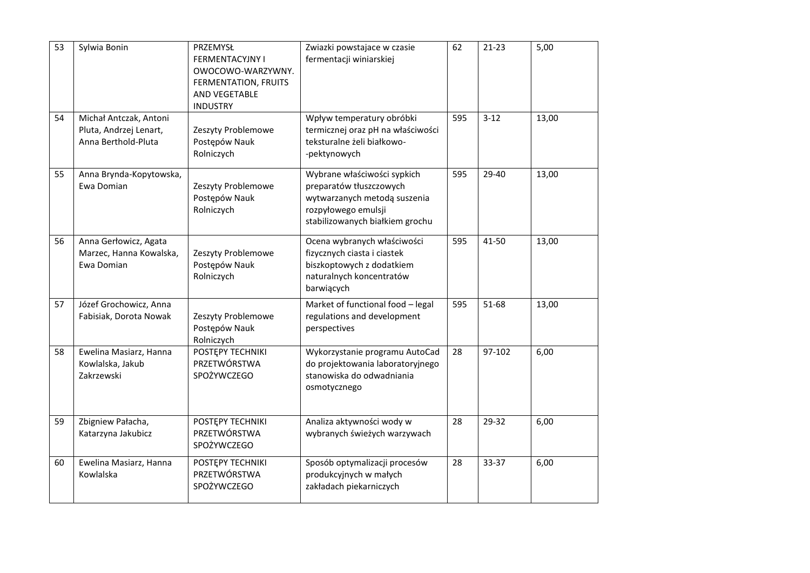| 53 | Sylwia Bonin                                                            | PRZEMYSŁ<br><b>FERMENTACYJNY I</b><br>OWOCOWO-WARZYWNY.<br>FERMENTATION, FRUITS<br>AND VEGETABLE<br><b>INDUSTRY</b> | Zwiazki powstajace w czasie<br>fermentacji winiarskiej                                                                                           | 62  | $21-23$ | 5,00  |
|----|-------------------------------------------------------------------------|---------------------------------------------------------------------------------------------------------------------|--------------------------------------------------------------------------------------------------------------------------------------------------|-----|---------|-------|
| 54 | Michał Antczak, Antoni<br>Pluta, Andrzej Lenart,<br>Anna Berthold-Pluta | Zeszyty Problemowe<br>Postępów Nauk<br>Rolniczych                                                                   | Wpływ temperatury obróbki<br>termicznej oraz pH na właściwości<br>teksturalne żeli białkowo-<br>-pektynowych                                     | 595 | $3-12$  | 13,00 |
| 55 | Anna Brynda-Kopytowska,<br>Ewa Domian                                   | Zeszyty Problemowe<br>Postępów Nauk<br>Rolniczych                                                                   | Wybrane właściwości sypkich<br>preparatów tłuszczowych<br>wytwarzanych metodą suszenia<br>rozpyłowego emulsji<br>stabilizowanych białkiem grochu | 595 | 29-40   | 13,00 |
| 56 | Anna Gerłowicz, Agata<br>Marzec, Hanna Kowalska,<br>Ewa Domian          | Zeszyty Problemowe<br>Postępów Nauk<br>Rolniczych                                                                   | Ocena wybranych właściwości<br>fizycznych ciasta i ciastek<br>biszkoptowych z dodatkiem<br>naturalnych koncentratów<br>barwiących                | 595 | 41-50   | 13,00 |
| 57 | Józef Grochowicz, Anna<br>Fabisiak, Dorota Nowak                        | Zeszyty Problemowe<br>Postępów Nauk<br>Rolniczych                                                                   | Market of functional food - legal<br>regulations and development<br>perspectives                                                                 | 595 | 51-68   | 13,00 |
| 58 | Ewelina Masiarz, Hanna<br>Kowlalska, Jakub<br>Zakrzewski                | POSTĘPY TECHNIKI<br>PRZETWÓRSTWA<br>SPOŻYWCZEGO                                                                     | Wykorzystanie programu AutoCad<br>do projektowania laboratoryjnego<br>stanowiska do odwadniania<br>osmotycznego                                  | 28  | 97-102  | 6,00  |
| 59 | Zbigniew Pałacha,<br>Katarzyna Jakubicz                                 | POSTĘPY TECHNIKI<br>PRZETWÓRSTWA<br>SPOŻYWCZEGO                                                                     | Analiza aktywności wody w<br>wybranych świeżych warzywach                                                                                        | 28  | 29-32   | 6,00  |
| 60 | Ewelina Masiarz, Hanna<br>Kowlalska                                     | POSTEPY TECHNIKI<br>PRZETWÓRSTWA<br>SPOŻYWCZEGO                                                                     | Sposób optymalizacji procesów<br>produkcyjnych w małych<br>zakładach piekarniczych                                                               | 28  | 33-37   | 6,00  |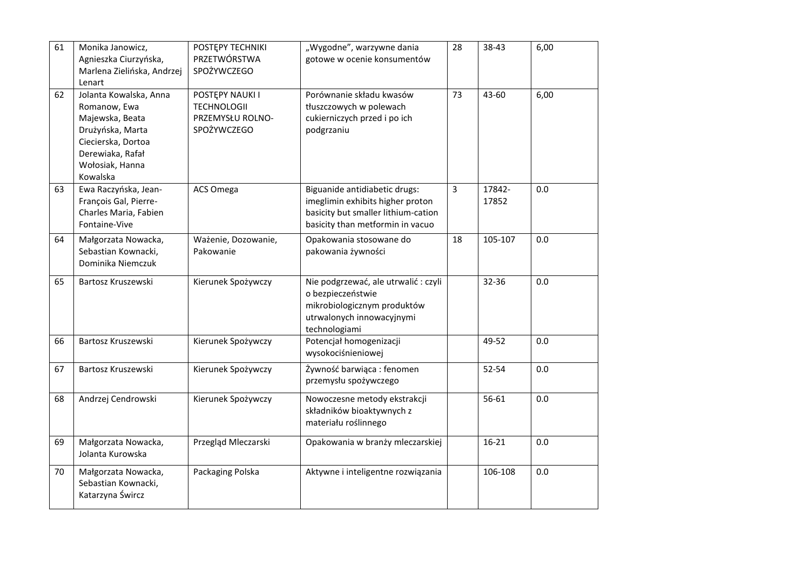| 61 |                            |                     |                                      |                |         |      |
|----|----------------------------|---------------------|--------------------------------------|----------------|---------|------|
|    | Monika Janowicz,           | POSTEPY TECHNIKI    | "Wygodne", warzywne dania            | 28             | 38-43   | 6,00 |
|    | Agnieszka Ciurzyńska,      | PRZETWÓRSTWA        | gotowe w ocenie konsumentów          |                |         |      |
|    | Marlena Zielińska, Andrzej | SPOŻYWCZEGO         |                                      |                |         |      |
|    | Lenart                     |                     |                                      |                |         |      |
| 62 | Jolanta Kowalska, Anna     | POSTĘPY NAUKI I     | Porównanie składu kwasów             | 73             | 43-60   | 6,00 |
|    | Romanow, Ewa               | <b>TECHNOLOGII</b>  | tłuszczowych w polewach              |                |         |      |
|    | Majewska, Beata            | PRZEMYSŁU ROLNO-    | cukierniczych przed i po ich         |                |         |      |
|    | Drużyńska, Marta           | SPOŻYWCZEGO         | podgrzaniu                           |                |         |      |
|    | Ciecierska, Dortoa         |                     |                                      |                |         |      |
|    | Derewiaka, Rafał           |                     |                                      |                |         |      |
|    | Wołosiak, Hanna            |                     |                                      |                |         |      |
|    | Kowalska                   |                     |                                      |                |         |      |
| 63 | Ewa Raczyńska, Jean-       | ACS Omega           | Biguanide antidiabetic drugs:        | $\overline{3}$ | 17842-  | 0.0  |
|    | François Gal, Pierre-      |                     | imeglimin exhibits higher proton     |                | 17852   |      |
|    | Charles Maria, Fabien      |                     | basicity but smaller lithium-cation  |                |         |      |
|    | Fontaine-Vive              |                     | basicity than metformin in vacuo     |                |         |      |
|    |                            |                     |                                      |                |         |      |
| 64 | Małgorzata Nowacka,        | Ważenie, Dozowanie, | Opakowania stosowane do              | 18             | 105-107 | 0.0  |
|    | Sebastian Kownacki,        | Pakowanie           | pakowania żywności                   |                |         |      |
|    | Dominika Niemczuk          |                     |                                      |                |         |      |
| 65 | Bartosz Kruszewski         | Kierunek Spożywczy  | Nie podgrzewać, ale utrwalić : czyli |                | 32-36   | 0.0  |
|    |                            |                     | o bezpieczeństwie                    |                |         |      |
|    |                            |                     | mikrobiologicznym produktów          |                |         |      |
|    |                            |                     | utrwalonych innowacyjnymi            |                |         |      |
|    |                            |                     | technologiami                        |                |         |      |
| 66 | Bartosz Kruszewski         | Kierunek Spożywczy  | Potencjał homogenizacji              |                | 49-52   | 0.0  |
|    |                            |                     | wysokociśnieniowej                   |                |         |      |
|    |                            |                     |                                      |                |         |      |
| 67 | Bartosz Kruszewski         | Kierunek Spożywczy  | Żywność barwiąca: fenomen            |                | 52-54   | 0.0  |
|    |                            |                     | przemysłu spożywczego                |                |         |      |
| 68 | Andrzej Cendrowski         | Kierunek Spożywczy  | Nowoczesne metody ekstrakcji         |                | 56-61   | 0.0  |
|    |                            |                     | składników bioaktywnych z            |                |         |      |
|    |                            |                     | materiału roślinnego                 |                |         |      |
|    |                            |                     |                                      |                |         |      |
| 69 | Małgorzata Nowacka,        | Przegląd Mleczarski | Opakowania w branży mleczarskiej     |                | 16-21   | 0.0  |
|    | Jolanta Kurowska           |                     |                                      |                |         |      |
|    |                            |                     |                                      |                |         |      |
| 70 | Małgorzata Nowacka,        | Packaging Polska    | Aktywne i inteligentne rozwiązania   |                | 106-108 | 0.0  |
|    | Sebastian Kownacki,        |                     |                                      |                |         |      |
|    | Katarzyna Śwircz           |                     |                                      |                |         |      |
|    |                            |                     |                                      |                |         |      |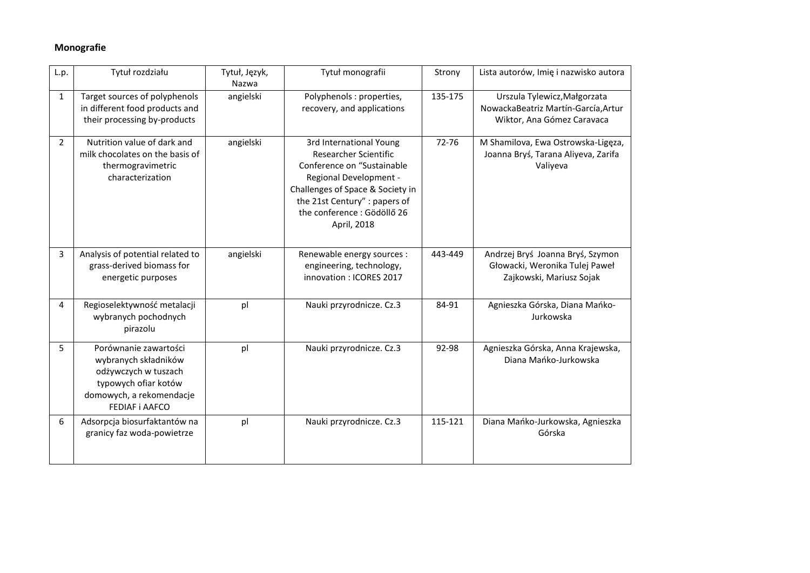## **Monografie**

| L.p.           | Tytuł rozdziału                                                                                                                             | Tytuł, Język,<br>Nazwa | Tytuł monografii                                                                                                                                                                                                            | Strony  | Lista autorów, Imię i nazwisko autora                                                             |
|----------------|---------------------------------------------------------------------------------------------------------------------------------------------|------------------------|-----------------------------------------------------------------------------------------------------------------------------------------------------------------------------------------------------------------------------|---------|---------------------------------------------------------------------------------------------------|
| $\mathbf{1}$   | Target sources of polyphenols<br>in different food products and<br>their processing by-products                                             | angielski              | Polyphenols : properties,<br>recovery, and applications                                                                                                                                                                     | 135-175 | Urszula Tylewicz, Małgorzata<br>NowackaBeatriz Martín-García, Artur<br>Wiktor, Ana Gómez Caravaca |
| $2^{\circ}$    | Nutrition value of dark and<br>milk chocolates on the basis of<br>thermogravimetric<br>characterization                                     | angielski              | 3rd International Young<br>Researcher Scientific<br>Conference on "Sustainable<br>Regional Development -<br>Challenges of Space & Society in<br>the 21st Century" : papers of<br>the conference : Gödöllő 26<br>April, 2018 | 72-76   | M Shamilova, Ewa Ostrowska-Ligęza,<br>Joanna Bryś, Tarana Aliyeva, Zarifa<br>Valiyeva             |
| 3              | Analysis of potential related to<br>grass-derived biomass for<br>energetic purposes                                                         | angielski              | Renewable energy sources :<br>engineering, technology,<br>innovation: ICORES 2017                                                                                                                                           | 443-449 | Andrzej Bryś Joanna Bryś, Szymon<br>Głowacki, Weronika Tulej Paweł<br>Zajkowski, Mariusz Sojak    |
| $\overline{4}$ | Regioselektywność metalacji<br>wybranych pochodnych<br>pirazolu                                                                             | pl                     | Nauki przyrodnicze. Cz.3                                                                                                                                                                                                    | 84-91   | Agnieszka Górska, Diana Mańko-<br>Jurkowska                                                       |
| 5              | Porównanie zawartości<br>wybranych składników<br>odżywczych w tuszach<br>typowych ofiar kotów<br>domowych, a rekomendacje<br>FEDIAF i AAFCO | pl                     | Nauki przyrodnicze. Cz.3                                                                                                                                                                                                    | 92-98   | Agnieszka Górska, Anna Krajewska,<br>Diana Mańko-Jurkowska                                        |
| 6              | Adsorpcja biosurfaktantów na<br>granicy faz woda-powietrze                                                                                  | pl                     | Nauki przyrodnicze. Cz.3                                                                                                                                                                                                    | 115-121 | Diana Mańko-Jurkowska, Agnieszka<br>Górska                                                        |